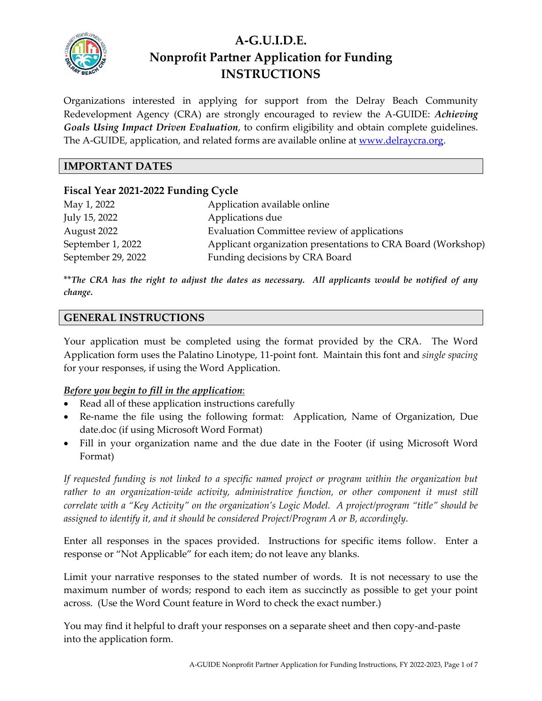

# **A-G.U.I.D.E. Nonprofit Partner Application for Funding INSTRUCTIONS**

Organizations interested in applying for support from the Delray Beach Community Redevelopment Agency (CRA) are strongly encouraged to review the A-GUIDE: *Achieving Goals Using Impact Driven Evaluation*, to confirm eligibility and obtain complete guidelines. The A-GUIDE, application, and related forms are available online at [www.delraycra.org.](http://www.delraycra.org/)

## **IMPORTANT DATES**

## **Fiscal Year 2021-2022 Funding Cycle**

| May 1, 2022        | Application available online                                 |
|--------------------|--------------------------------------------------------------|
| July 15, 2022      | Applications due                                             |
| August 2022        | Evaluation Committee review of applications                  |
| September 1, 2022  | Applicant organization presentations to CRA Board (Workshop) |
| September 29, 2022 | Funding decisions by CRA Board                               |

\*\**The CRA has the right to adjust the dates as necessary. All applicants would be notified of any change.*

#### **GENERAL INSTRUCTIONS**

Your application must be completed using the format provided by the CRA. The Word Application form uses the Palatino Linotype, 11-point font. Maintain this font and *single spacing* for your responses, if using the Word Application.

#### *Before you begin to fill in the application*:

- Read all of these application instructions carefully
- Re-name the file using the following format: Application, Name of Organization, Due date.doc (if using Microsoft Word Format)
- Fill in your organization name and the due date in the Footer (if using Microsoft Word Format)

*If requested funding is not linked to a specific named project or program within the organization but rather to an organization-wide activity, administrative function, or other component it must still correlate with a "Key Activity" on the organization's Logic Model. A project/program "title" should be assigned to identify it, and it should be considered Project/Program A or B, accordingly.*

Enter all responses in the spaces provided. Instructions for specific items follow. Enter a response or "Not Applicable" for each item; do not leave any blanks.

Limit your narrative responses to the stated number of words. It is not necessary to use the maximum number of words; respond to each item as succinctly as possible to get your point across. (Use the Word Count feature in Word to check the exact number.)

You may find it helpful to draft your responses on a separate sheet and then copy-and-paste into the application form.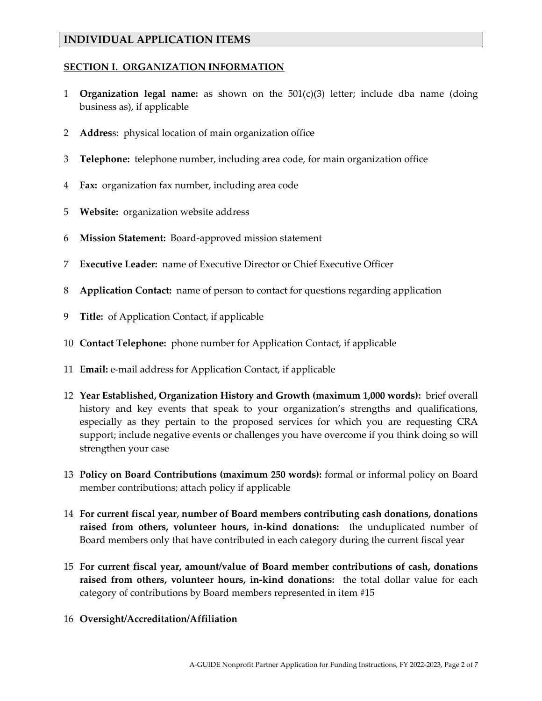## **INDIVIDUAL APPLICATION ITEMS**

#### **SECTION I. ORGANIZATION INFORMATION**

- 1 **Organization legal name:** as shown on the 501(c)(3) letter; include dba name (doing business as), if applicable
- 2 **Addres**s: physical location of main organization office
- 3 **Telephone:** telephone number, including area code, for main organization office
- 4 **Fax:** organization fax number, including area code
- 5 **Website:** organization website address
- 6 **Mission Statement:** Board-approved mission statement
- 7 **Executive Leader:** name of Executive Director or Chief Executive Officer
- 8 **Application Contact:** name of person to contact for questions regarding application
- 9 **Title:** of Application Contact, if applicable
- 10 **Contact Telephone:** phone number for Application Contact, if applicable
- 11 **Email:** e-mail address for Application Contact, if applicable
- 12 **Year Established, Organization History and Growth (maximum 1,000 words):** brief overall history and key events that speak to your organization's strengths and qualifications, especially as they pertain to the proposed services for which you are requesting CRA support; include negative events or challenges you have overcome if you think doing so will strengthen your case
- 13 **Policy on Board Contributions (maximum 250 words):** formal or informal policy on Board member contributions; attach policy if applicable
- 14 **For current fiscal year, number of Board members contributing cash donations, donations raised from others, volunteer hours, in-kind donations:** the unduplicated number of Board members only that have contributed in each category during the current fiscal year
- 15 **For current fiscal year, amount/value of Board member contributions of cash, donations raised from others, volunteer hours, in-kind donations:** the total dollar value for each category of contributions by Board members represented in item #15
- 16 **Oversight/Accreditation/Affiliation**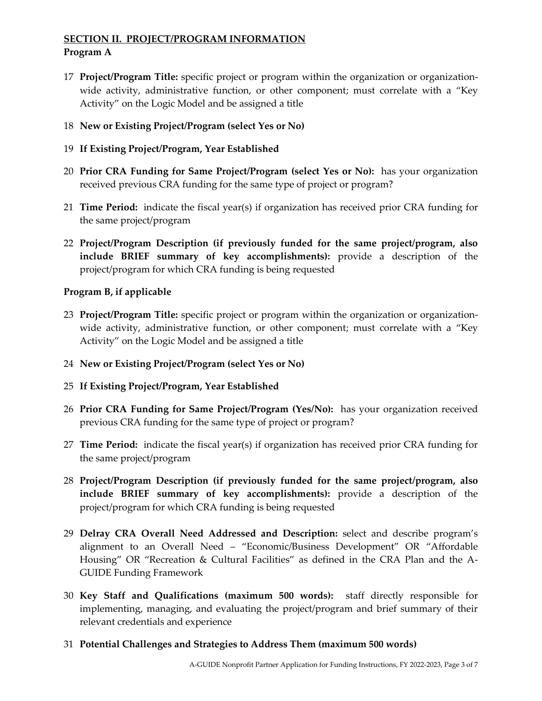## **SECTION II. PROJECT/PROGRAM INFORMATION Program A**

- 17 **Project/Program Title:** specific project or program within the organization or organizationwide activity, administrative function, or other component; must correlate with a "Key Activity" on the Logic Model and be assigned a title
- 18 **New or Existing Project/Program (select Yes or No)**
- 19 **If Existing Project/Program, Year Established**
- 20 **Prior CRA Funding for Same Project/Program (select Yes or No):** has your organization received previous CRA funding for the same type of project or program?
- 21 **Time Period:** indicate the fiscal year(s) if organization has received prior CRA funding for the same project/program
- 22 **Project/Program Description (if previously funded for the same project/program, also include BRIEF summary of key accomplishments):** provide a description of the project/program for which CRA funding is being requested

#### **Program B, if applicable**

- 23 **Project/Program Title:** specific project or program within the organization or organizationwide activity, administrative function, or other component; must correlate with a "Key Activity" on the Logic Model and be assigned a title
- 24 **New or Existing Project/Program (select Yes or No)**
- 25 **If Existing Project/Program, Year Established**
- 26 **Prior CRA Funding for Same Project/Program (Yes/No):** has your organization received previous CRA funding for the same type of project or program?
- 27 **Time Period:** indicate the fiscal year(s) if organization has received prior CRA funding for the same project/program
- 28 **Project/Program Description (if previously funded for the same project/program, also include BRIEF summary of key accomplishments):** provide a description of the project/program for which CRA funding is being requested
- 29 **Delray CRA Overall Need Addressed and Description:** select and describe program's alignment to an Overall Need – "Economic/Business Development" OR "Affordable Housing" OR "Recreation & Cultural Facilities" as defined in the CRA Plan and the A-GUIDE Funding Framework
- 30 **Key Staff and Qualifications (maximum 500 words):** staff directly responsible for implementing, managing, and evaluating the project/program and brief summary of their relevant credentials and experience
- 31 **Potential Challenges and Strategies to Address Them (maximum 500 words)**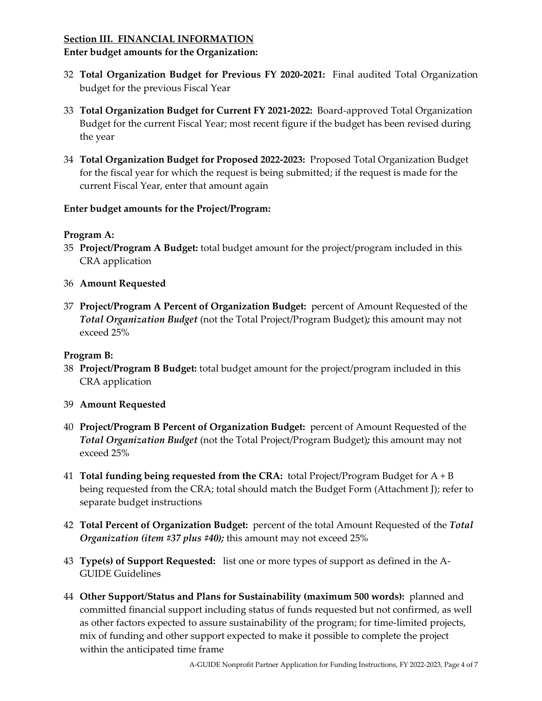## **Section III. FINANCIAL INFORMATION Enter budget amounts for the Organization:**

- 32 **Total Organization Budget for Previous FY 2020-2021:** Final audited Total Organization budget for the previous Fiscal Year
- 33 **Total Organization Budget for Current FY 2021-2022:** Board-approved Total Organization Budget for the current Fiscal Year; most recent figure if the budget has been revised during the year
- 34 **Total Organization Budget for Proposed 2022-2023:** Proposed Total Organization Budget for the fiscal year for which the request is being submitted; if the request is made for the current Fiscal Year, enter that amount again

## **Enter budget amounts for the Project/Program:**

#### **Program A:**

- 35 **Project/Program A Budget:** total budget amount for the project/program included in this CRA application
- 36 **Amount Requested**
- 37 **Project/Program A Percent of Organization Budget:** percent of Amount Requested of the *Total Organization Budget* (not the Total Project/Program Budget)*;* this amount may not exceed 25%

## **Program B:**

- 38 **Project/Program B Budget:** total budget amount for the project/program included in this CRA application
- 39 **Amount Requested**
- 40 **Project/Program B Percent of Organization Budget:** percent of Amount Requested of the *Total Organization Budget* (not the Total Project/Program Budget)*;* this amount may not exceed 25%
- 41 **Total funding being requested from the CRA:** total Project/Program Budget for A + B being requested from the CRA; total should match the Budget Form (Attachment J); refer to separate budget instructions
- 42 **Total Percent of Organization Budget:** percent of the total Amount Requested of the *Total Organization (item #37 plus #40);* this amount may not exceed 25%
- 43 **Type(s) of Support Requested:** list one or more types of support as defined in the A-GUIDE Guidelines
- 44 **Other Support/Status and Plans for Sustainability (maximum 500 words):** planned and committed financial support including status of funds requested but not confirmed, as well as other factors expected to assure sustainability of the program; for time-limited projects, mix of funding and other support expected to make it possible to complete the project within the anticipated time frame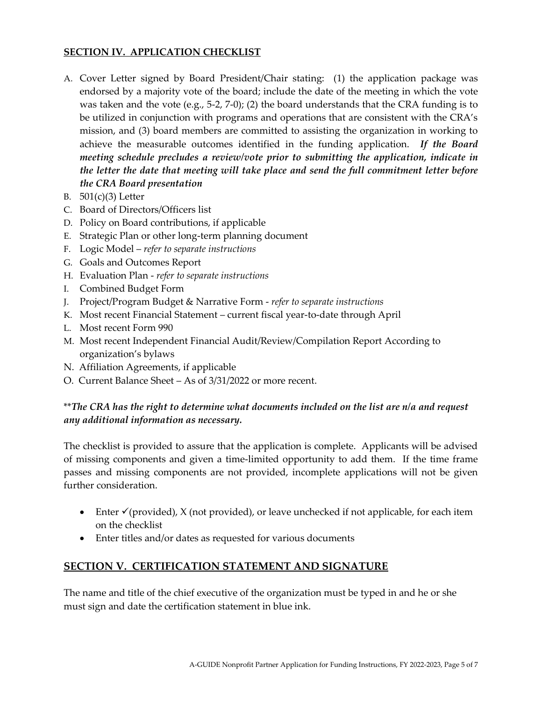#### **SECTION IV. APPLICATION CHECKLIST**

- A. Cover Letter signed by Board President/Chair stating: (1) the application package was endorsed by a majority vote of the board; include the date of the meeting in which the vote was taken and the vote  $(e.g., 5-2, 7-0)$ ; (2) the board understands that the CRA funding is to be utilized in conjunction with programs and operations that are consistent with the CRA's mission, and (3) board members are committed to assisting the organization in working to achieve the measurable outcomes identified in the funding application. *If the Board meeting schedule precludes a review/vote prior to submitting the application, indicate in the letter the date that meeting will take place and send the full commitment letter before the CRA Board presentation*
- B. 501(c)(3) Letter
- C. Board of Directors/Officers list
- D. Policy on Board contributions, if applicable
- E. Strategic Plan or other long-term planning document
- F. Logic Model *refer to separate instructions*
- G. Goals and Outcomes Report
- H. Evaluation Plan *refer to separate instructions*
- I. Combined Budget Form
- J. Project/Program Budget & Narrative Form *refer to separate instructions*
- K. Most recent Financial Statement current fiscal year-to-date through April
- L. Most recent Form 990
- M. Most recent Independent Financial Audit/Review/Compilation Report According to organization's bylaws
- N. Affiliation Agreements, if applicable
- O. Current Balance Sheet As of 3/31/2022 or more recent.

## \*\**The CRA has the right to determine what documents included on the list are n/a and request any additional information as necessary.*

The checklist is provided to assure that the application is complete. Applicants will be advised of missing components and given a time-limited opportunity to add them. If the time frame passes and missing components are not provided, incomplete applications will not be given further consideration.

- Enter  $\checkmark$  (provided), X (not provided), or leave unchecked if not applicable, for each item on the checklist
- Enter titles and/or dates as requested for various documents

## **SECTION V. CERTIFICATION STATEMENT AND SIGNATURE**

The name and title of the chief executive of the organization must be typed in and he or she must sign and date the certification statement in blue ink.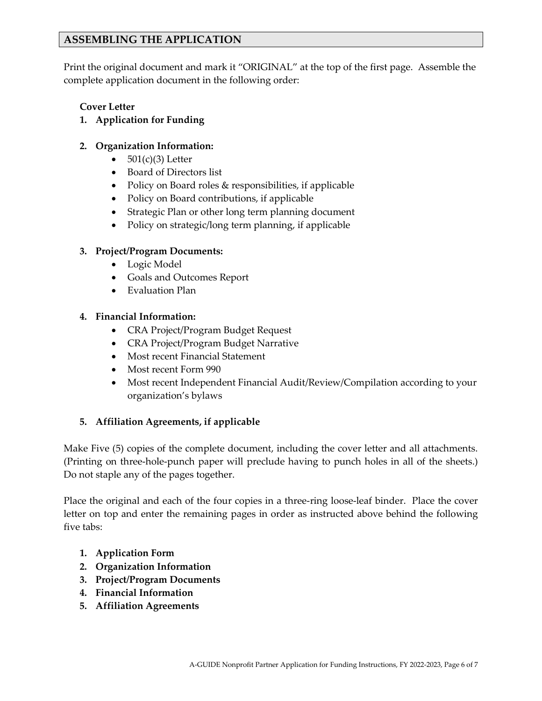## **ASSEMBLING THE APPLICATION**

Print the original document and mark it "ORIGINAL" at the top of the first page. Assemble the complete application document in the following order:

## **Cover Letter**

**1. Application for Funding**

## **2. Organization Information:**

- $501(c)(3)$  Letter
- Board of Directors list
- Policy on Board roles & responsibilities, if applicable
- Policy on Board contributions, if applicable
- Strategic Plan or other long term planning document
- Policy on strategic/long term planning, if applicable

## **3. Project/Program Documents:**

- Logic Model
- Goals and Outcomes Report
- Evaluation Plan

## **4. Financial Information:**

- CRA Project/Program Budget Request
- CRA Project/Program Budget Narrative
- Most recent Financial Statement
- Most recent Form 990
- Most recent Independent Financial Audit/Review/Compilation according to your organization's bylaws

## **5. Affiliation Agreements, if applicable**

Make Five (5) copies of the complete document, including the cover letter and all attachments. (Printing on three-hole-punch paper will preclude having to punch holes in all of the sheets.) Do not staple any of the pages together.

Place the original and each of the four copies in a three-ring loose-leaf binder. Place the cover letter on top and enter the remaining pages in order as instructed above behind the following five tabs:

- **1. Application Form**
- **2. Organization Information**
- **3. Project/Program Documents**
- **4. Financial Information**
- **5. Affiliation Agreements**